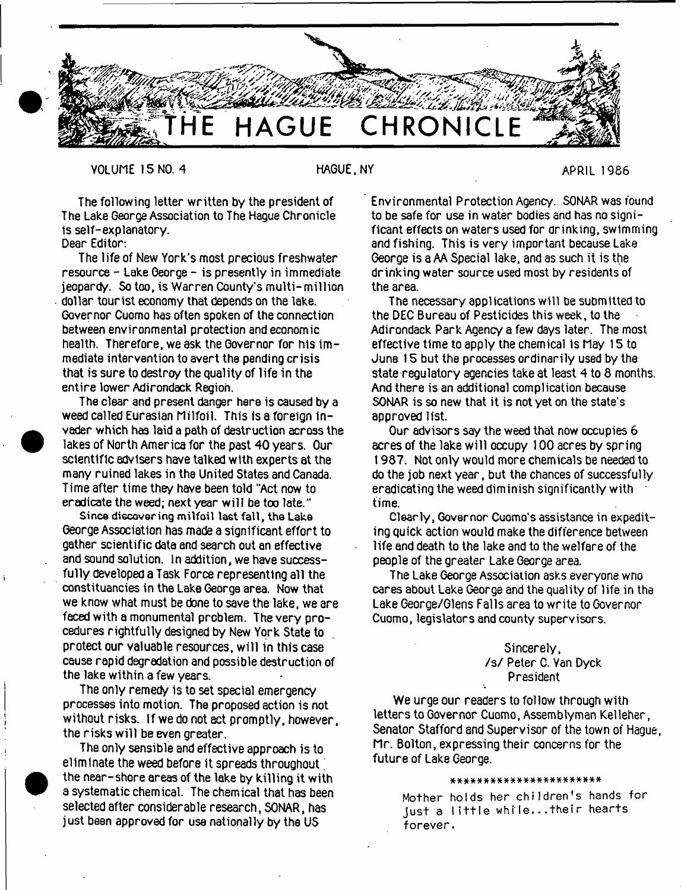

VOLUME 15 NO. 4 HAGUE, NY HAGUE. NY APRIL 1986

The following letter written by the president of The Lake George Association to The Hague Chronicle is self-explanatory.

Dear Editor:

 $\bullet$ 

•

The life of New York's most precious freshwater  $resource - Lake George - is presently in immediate$ jeopardy. So too. is Warren County's multi-million • dollar tourist economy that depends on the lake. Governor Cuomo has often spoken of the connection between environmental protection and economic health. Therefore, we ask the Governor for his immediate intervention to avert the pending crisis that is sure to destroy the quality of life in the entire lower Adirondack Region.

The clear and present danger here is caused by a weed called Eurasian Milfoil. This is a foreign 1n vader which has laid a path of destruction across the lakes of North America for the past 40 years. Our scientific advisers have talked with experts at the many ruined lakes in the United States and Canada. Time after time they have been told "Act now to eradicate the weed; next year w ill be too late."

Since discovering milfoil last fall, the Lake George Association has made a significant effort to gather scientific data and search out an effective and sound solution. In addition, we have successfully developed a Task Force representing all the constituencies in the Lake George area. Now that we know what must be done to save the lake, we are faced with a monumental problem. The very procedures rightfully designed by New York State to protect our valuable resources, will in this case cause rapid degradation and possible destruction of the lake within a few years.

The only remedy is to set special emergency processes into motion. The proposed action is not without risks. If we do not act promptly, however, the risks w ill be even greater.

The only sensible and effective approach is to eliminate the weed before it spreads throughout ' the near-shore areas of the lake by killing it with a systematic chemical. The chemical that has been selected after considerable research, SONAR, has just been approved for use nationally by the US

Environmental Protection Agency. SONAR was found to be safe for use in water bodies and has no significant effects on waters used for drinking, swimming and fishing. This is very important because Lake George is a AA Special lake, and as such it is the drinking water source used most by residents of the area.

The necessary applications will be submitted to the DEC Bureau of Pesticides this week, to the Adirondack Park Agency a few days later. The most effective time to apply the chemical Is May 15 to June 15 but the processes ordinarily used by the state regulatory agencies take at least 4 to 8 months. And there is an additional complication because SONAR is so new that it is not yet on the state's approved list.

Our advisors say the weed that now occupies 6 acres of the lake will occupy 100 acres by spring 1987. Not only would more chemicals be needed to do the job next year, but the chances of successfully eradicating the weed diminish significantly with \* time.

Clearly, Governor Cuomo's assistance in expediting quick action would make the difference between life and death to the lake and to the welfare of the people of the greater Lake George area.

The Lake George Association asks everyone wno cares about Lake George and the quality of life in the Lake George/Glens Falls area to write to Governor Cuomo, legislators and county supervisors.

> Sincerely, /s / Peter C. Van Dyck President

We urge our readers to follow through with letters to Governor Cuomo, Assemblyman Kelleher, Senator Stafford and Supervisor of the town of Hague, Mr. Bolton, expressing their concerns for the future of Lake George.

\* \* \* \* \* \* \* \* \* \* \* \* \* \* \* \* \* \* \* \* \* \* \*

Mother holds her children's hands for **Just a l i t t l e w h i l e . . . t h e i r hearts forever.**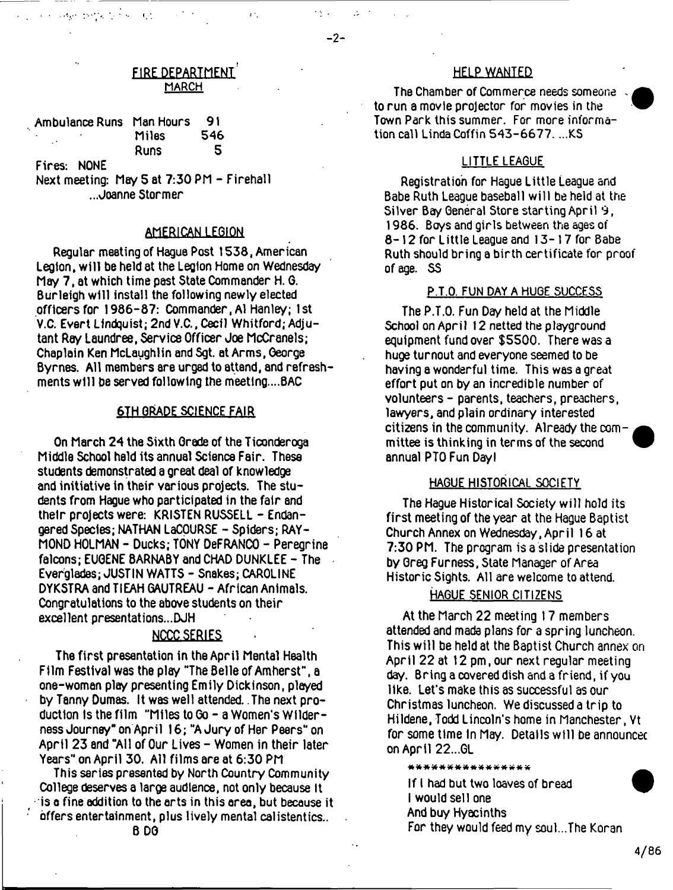$\mathcal{A}_1$ 

## FIRE DEPARTMENT **MARCH**

 $\ddot{\phantom{0}}$ 

| Ambulance Runs Man Hours |                      | 91       |
|--------------------------|----------------------|----------|
|                          | Miles<br><b>Runs</b> | 546<br>5 |
| Fires: NONE              |                      |          |

 $\mathbf{1}$  ,  $\mathbf{2}$ 

 $\mathcal{A}$  , as a positive set of  $\mathcal{A}$  , and

Next meeting: May 5 at 7:30 PM - Firehall ...Joanne Stormer

# AMERICAN LEGION

Regular meeting of Hague Post 1538, American Legion, w ill be held at the Legion Home on Wednesday May 7, at which time past State Commander H. 6. Burleigh will install the following newly elected officers for 1986-87: Commander, Al Hanley; 1st V.C. Evert Lindquist; 2nd V.C., Cecil Whitford; Adjutant Ray Laundree, Service Officer Joe McCranels; Chaplain Ken McLaughlin and Sgt. at Arms, George Byrnes. All members are urged to attsnd, and refreshments will be served following the meeting....BAC

#### 6TH GRADE SCIENCE FAIR

On March 24 the Sixth Grade of the Ticonderoga Middle School held its annual Science Fair. These students demonstrated a great deal of Knowledge and initiative in their various projects. The students from Hague who participated in the fair and their projects were: KRISTEN RUSSELL - Endangered Species; NATHAN LaCOURSE - Spiders; RAY-MOND HOLMAN - Ducks; TONY DeFRANCO - Peregrine falcons; EUGENE 8ARNABY and CHAD DUNKLEE - The Everglades; JUSTIN WATTS - Snakes; CAROLINE DYKSTRA and TIEAH 6AUTREAU - African Animals. Congratulations to the above students on their excellent presentations...DJH

# NCCC SERIES

The first presentation in the April Mental Health Film Festival was the play "The Belle of Amherst", a one-woman play presenting Emily Dickinson, played by Tanny Dumas. It was well attended. The next production Is the film "Miles to Go - a Women's Wilderness Journey" on April 16; "AJury of Her Peers" on April 23 and "All of Our Lives - Women in their later Years" on April 30. All films are at 6:30 PM

This series presented by North Country Community College deserves a large audience, not only because It  $\triangle$  is a fine addition to the arts in this area, but because it offers entertainment, plus lively mental calistentics.. B DG

## HELP WANTED

The Chamber of Commerce needs someone to run a movie projector for movies in the Town Park this summer. For more information call Linda Coffin 543-6677. ...KS

# LITTLE LEAGUE

Registration for Hague Little League and Babe Ruth League baseball will be held at the Silver Bay General Store starting April 9, 1986. Boys and girls between the ages of 8-12 for Little League and 13-17 for Babe Ruth should bring a birth certificate for proof of age. SS

#### P.T.O. FUN DAY A HUGE SUCCESS.

The P.T.O. Fun Day held at the Middle School on April 12 netted the playground equipment fund over \$5500. There was a huge turnout and everyone seemed to be having a wonderful time. This was a great effort put on by an incredible number of volunteers - parents, teachers, preachers, lawyers, and plain ordinary interested citizens in the community. Already the committee is thinking in terms of the second annual PTO Fun Dayl

# HAGUE HISTORICAL SOCIETY

The Hague Historical Society w ill hold its first meeting of the year at the Hague Baptist Church Annex on Wednesday, April 16 at 7:30 PM. The program is a si ide presentation by Greg Furness, State Manager of Area Historic Sights. All are welcome to attend.

## HAGUE SENIOR CITIZENS

At the March 22 meeting 17 members attended and mada plans for a spring luncheon. This will be held at the Baptist Church annex on April 22 at 12 pm, our next regular meeting day. Bring a covered dish and a friend, if you like. Let's make this as successful as our Christmas luncheon. We discussed a trip to Hildene, Todd Lincoln's home in Manchester, Vt for some time in May. Details will be announced on April 22...GL

\*\*\*\*\*\*\*\*\*\*\*\*\*\*\*\*

If I had but two loaves of bread I would sell one And buy Hyacinths For they would feed my soul...The Koran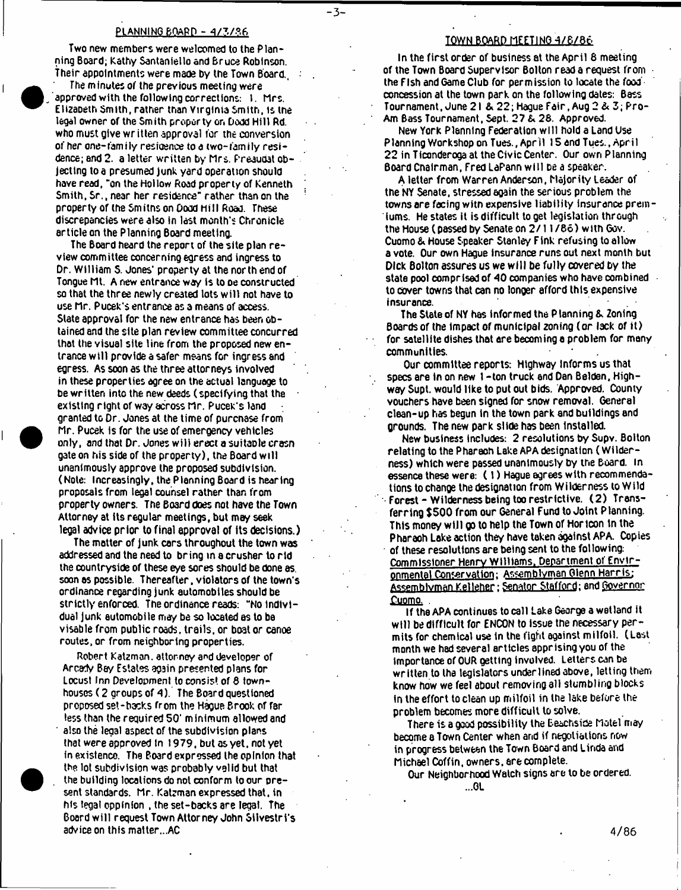#### PLANNING BOARD - 4/3/86

**-3 -**

Two new members were welcomed to the Planning Board; Kathy Santaniello and Bruce Robinson. Their appointments were made by the Town Board.,

The minutes of the previous meeting were approved with the following corrections: 1. Mrs. Elizabeth Smith, rather than Virginia Smith, is the legal owner of the Smith property on Dodd Hill Rd. who must give written approval for the conversion of her one-family residence to a two-family residence; and 2. a letter written by Mrs. Preaudat objecting to a presumed junk yard operation should have read, "on the Hollow Road property of Kenneth Smith, Sr., near her residence" rather than on the property of the Smitns on Dood h ill Road. These discrepancies were also in last month's Chronicle article on the Planning Board meeting.

The Board heard the report of the site plan review committee concerning egress and ingress to Dr. William S. Jones\* property at the north end of Tongue Mt. A new entrance way is to **De** constructed so that the three newly created lots w ill not have to use Mr. Pucek's entrance as a means of access. State approval for the new entrance has been obtained and the site plan review committee concurred that the visual site line from the proposed new entrance w ill provide a safer means for ingress and egress. As soon as the three attorneys involved in these properties agree on the actual language to be written into the new deeds (specifying that the existing right of W3y across Mr. Pucek's land granted to Dr. Jones at the time of purcnase from Mr. Pucek is for the use of emergency vehicles only, and that Dr. Jones w ill erect a suitable crasn gate on his side of the property), the Board will unanimously approve the proposed subdivision. (Note: Increasingly, the Planning Board is hearing proposals from legal counsel rather than from property owners. The Board does not have the Town Attorney at its regular meetings, but mey seek legal advice prior to final approval of its decisions.)

The matter of junk cars throughout the town was addressed and the need to bring in a crusher to rid the countryside of these eye sores should be done as. soon os possible. Thereafter, violators of the town's ordinance regarding junk automobiles should be strictly enforced. The ordinance reads: "No individual junk automobile may be so located as to be visable from public roads, trails, or boat or canoe routes, or from neighboring properties.

Robert Katzman. attorney and developer of Arcarty Bey Estates again presented plans for Locust Inn Development to consist of 8 townhouses (2 groups of 4). The Board questioned proposed set-backs from the Hague Brook of far less than the required 50' minimum allowed and ' also the legal aspect of the subdivision plans that were approved In 1979, but as yet, not yet in existence. The Board expressed the opinion that the lot subdivision was probably vglid but that the building locations do not conform to our present standards. Mr. Katzman expressed that, in his legal opplnion , the set-backs are legal. The Board w ill request Town Attorney John Gilvestri's advice on this matter...AC

#### TOWN BOARD MEETING 4/8/86

In the first order of business at the April 8 meeting of the Town Board Supervisor Bolton read a request from • the Fish and Game Club for permission to locate the food' concession at the town park on the following dates: Bass Tournament, June 21 & 22; Hague Fair, Aug 2 *&* 3; Pro-Am Bass Tournament, Sept. 27 & 28. Approved.

New York Planning Federation w ill hold a Land Use Planning Workshop on Tues., Apr il 15 and Tues., April 22 in Ticonderoga at the Civic Center. Our own Planning Board Cnalrman, Fred LaPann w ill be a speaker.

A letter from Warren Anderson, Majority Leader of the NY Senate, stressed again the serious problem the towns are facing witn expensive liability insurance premiums. He states it is difficult to get legislation through the House (passed by Senate on 2/11/86) with Gov. Cuomo & House Speaker Stanley Fink refusing to allow a vote. Our own Hague Insurance runs out next month but Dick Bolton assures us we w ill be fully covered by the state pool comprised of 40 companies who have oombined to cover towns that can no longer afford this expensive insurance.

The State of NY has informed the Planning & Zoning Boards of the impact of municipal zoning (or lack of it) for satellite dishes that are becoming a problem for many communities.

Our committee reports: Highway Informs us that specs are in on new 1 -ton truck and Dan Belden, Highway Supt. would like to put out bids. Approved. County vouchers have been signed for snow removal. General clean-up has begun In the town park and buildings and grounds. The new park slide has been installed.

New business includes: 2 resolutions by Supv. Bolton relating to the Pharaoh Lake APA designation (Wilderness) which were passed unanimously by the Board, in essence these were: (1 ) Hague agrees with recommendations to change the designation from Wilderness to Wild Forest - Wilderness being too restrictive. (2 ) Transferring \$500 from our General Fund to Joint Planning. This money w ljl go to help the Town of Horicon in the Pharaoh Lake action they have taken against APA. Copies of these resolutions are being sent to the following. Commissioner Henry Williams, Department of Environmental Conservation; Assemblyman Glenn Harris; Assemblyman Kelleher; Senator Stafford; and Governor <u>Cuomo, ... , ... , ... , ... , ... , ... , ... , ... , ... , ... , ... , ... , ... , ... , ...</u>

If the APA continues to call Lake George a wetland it will be difficult for ENCON to issue the necessary permits for chemical use in the fight against m ilfoil. (Last month we had several articles apprising you of the importance of OUR getting involved. Letters can be written to the legislators underlined above, letting them know how we feel about removing all stumbling blocks in the effort to clean up milfoil in the lake before the problem becomes more difficult to solve.

There is a good possibility the Beachside Motel may become a Town Center when and if negotiations now in progress between the Town Board and Linda and Michael Coffin, owners, are complete.

Our Neighborhood Watch signs are to be ordered. ...GL

**4/86**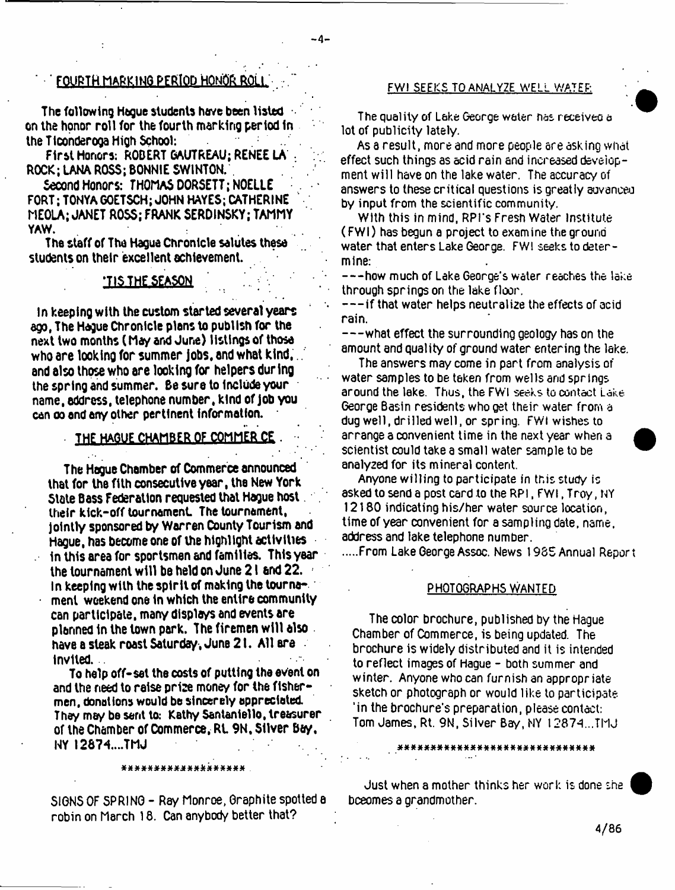# FOURTH MARKING PERIOD HONOR ROLL FWI SEEKS TO ANALYZE WELL WATER:

**- 4 -**

The following Hague students have been listed on the honor roll for the fourth marking period in the Ticonderoga High School:

First Honors: ROBERT 6AUTREAU; RENEE LA . ROCK; LANA ROSS; BONNIE SWINTON.

Second Honors: THOMAS DORSETT: NOELLE FORT; TONYAGOETSCH; JOHN HAYES; CATHERINE MEOLA; JANET ROSS; FRANK SERDINSKY; TAMMY YAW.

The staff of The Hague Chronicle salutes these students on their excellent achievement.

# \*TIS THE SEASON '

In keeping with the custom started several years ego, The Hague Chronicle plans to publish for the next two months ( May and June) listings of those who are looking for summer jobs, and what kind, and also those who are looking for helpers during the spring and summer. Be sure to include your name, address, telephone number, kind of job you can oo and any other pertinent Information.

#### THE HAGUE CHAMBER OF COMMER CE

The Hague Chamber of Commerce announced that for the fith consecutive year, the New York State Bass Federation requested that Hague host their kick-off tournament. The tournament, jointly sponsored by Warren County Tourism and Hague, has become one of the highlight activities . In this area for sportsmen and families. This year the tournament w ill be held on June 2 i and 22. in keeping with the spirit of making the tourna ment weekend one in which the entire community can participate, many displays and events are planned in the town park. The firemen will also  $\overline{\phantom{a}}$ have a steak roast Saturday , June 2 1. All era invited. .

To help off-set the costs of putting the event on and the need to raise prise money for the fishermen, donations would be sincerely appreciated. They may be sent to: Kathy Santaniello, treasurer of the Chamber of Commerce, Rt 9N, Silver Bay, NY I2874....TMJ

# \*\*\*\*\*\*\*\*\*\*\*\*\*\*\*\*\*

SIGNS OF SPRING - Ray Monroe, Graphite spotted a robin on March 18. Can anybody better that?

The quality of Lake George water has receiveo a lot of publicity lately.

As a result, more and more people are asking what effect such things as acid rain and increased development will have on the lake water. The accuracy of answers to these critical questions is greatly auvanceo by input from the scientific community.

With this in mind, RPl's Fresh Water Institute (FWI) has begun a project to examine the ground water that enters Lake George. FWI seeks to determine:

 $-$ -how much of Lake George's water reaches the lake through springs on the lake floor.

 $---$  if that water helps neutralize the effects of acid rain.

— what effect the surrounding geology has on the amount and quality of ground water entering the lake.

The answers may come in part from analysis of water samples to be taken from wells and springs around the lake. Thus, the FWI seeks to contact Lake. George Basin residents who get their water from a dug well, drilled well, or spring. FWI wishes to arrange a convenient time in the next year when a scientist could take a small water sample to be analyzed for its mineral content.

Anyone willing to participate in this study is asked to send a post card to the RP1, FWI, Troy, NY 12180 indicating his/her water source location, time of year convenient for a sampling date, name, address and lake telephone number.

From Lake George Assoc. News 1985 Annual Report

#### PHOTOGRAPHS WANTED

The color brochure, published by the Hague Chamber of Commerce, is being updated. The brochure is widely distributed and it is intended to reflect images of Hague - both summer and winter. Anyone who can furnish an appropriate sketch or photograph or would like to participate 'in the brochure's preparation, please contact: Tom James, Rt. 9N, Silver Bay, NY 12874...TMJ

Just when a mother thinks her work is done she becomes a grandmother.

» \* £ \* X X X \* X \* X X \* \* « X X \* ttX # X X # X X X X X X

**4/86**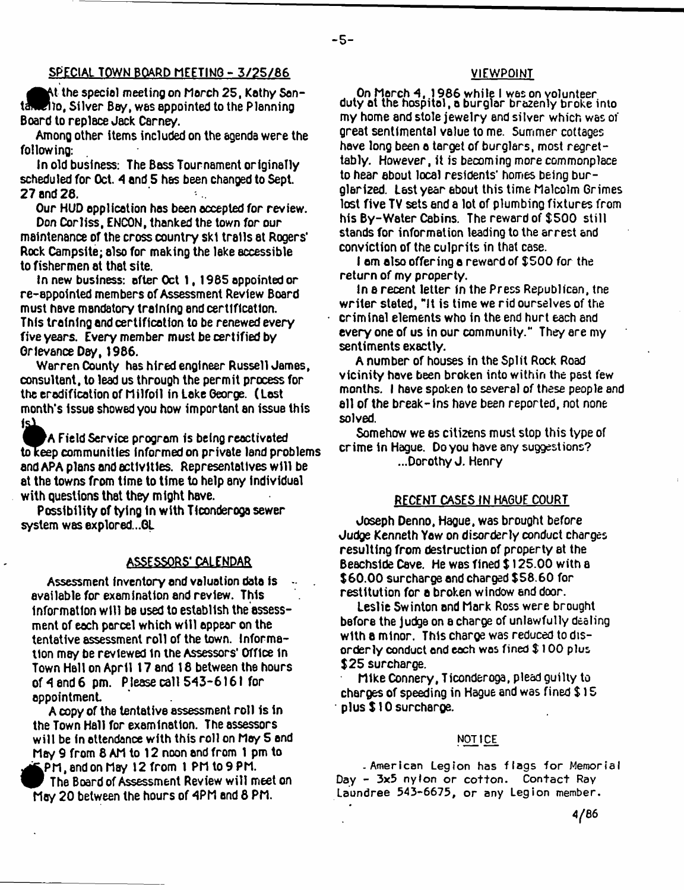# SPECIAL TOWN BOARD MEETING - 3/25/66

the specie! meeting on March 25, Kathy Sen- $\blacksquare$  to, Silver Bay, was appointed to the Planning Board to replace Jack Carney.

Among other items included on the agenda were the following:

In old business: The Bass Tournament originally scheduled for Oct. 4 and 5 has been changed to Sept. 27 and 26.  $\mathcal{I}_{\text{max}}$ 

Our HUD application has been accepted for review. Don Corliss, ENCON, thanked the town for our maintenance of the cross country ski trails at Rogers\* Rock Campsite; also for making the lake accessible to fishermen at that site.

In new business: after Oct 1, 1965 appointed or re-appointed members of Assessment Review Board must have mandatory training end certification. This training and certification to be renewed every five years. Every member must be certified by Grievance Day, 1966.

Warren County has hired engineer Russell James, consultant, to lead us through the permit process for the eradification of M ilfoil in take George. ( Last month's Issue showed you how important an issue this 1s)

V A Field Service program Is being reactivated to keep communities informed on private land problems. and APA plans and activities. Representatives w ill be at the towns from time to time to help any individual with questions that they m ight have.

Possibility of tying in with Ticonderoga sewer system was explored...GL

# ASSESSORS' CALENDAR

Assessment Inventory and valuation data is available for examination and review. This information will be used to establish the assessment of each parcel which w ill appear on the tentative assessment roll of the town. Information may be reviewed In the Assessors' Office in Town Hall on April 17 and 18 between the hours of *A* end 6 pm. Please call 543-6161 for appointment

A copy of the tentative assessment roll is in the Town Hall for examination. The assessors will be in attendance with this roll on May 5 and May 9 from 8 AM to 12 noon and from 1 pm to PM, and on May 12 from t PM to 9 PM.

FPM, and on May 12 from 1 PM to 9 PM.<br>The Board of Assessment Review will mee<br>May 20 between the hours of 4PM and 8 PM. The Board of Assessment Review w ill meet on

## VIEWPOINT

On March 4, 1986 while 1 wes on volunteer duty at the hospital, a burglar brazenly broke into my home and stole jewelry end silver which was of great sentimental value to me. Summer cottages have long been a target of burglars, most regrettably. However, it is becoming more commonplace to hear about local residents' homes being burglarized. Last year about this time Malcolm Grimes lost five TV sets and a lot of plumbing fixtures from his By-Water Cabins. The reward of \$500 still stands for information leading to the arrest and conviction of the culprits in that case.

I am also offering a reward of \$500 for the return of my property.

In a recent letter In the Press Republican, tne writer stated, "It is time we rid ourselves of the criminal elements who in the end hurt each and every one of us in our community." They ere my sentiments exactly.

A number of houses in the Split Rock Road vicinity have been broken into within the past few months. I have spoken to several of these people and ell of the break-ins have been reported, not none solved.

Somehow we es citizens must stop this type of crime in Hague. Do you have any suggestions? ...Dorothy J. Henry

#### RECENT CASES IN HAGUE COURT

Joseph Denno, Hague, was brought before Judge Kenneth Yaw on disorderly conduct charges resulting from destruction of property at the Beachside Cave. He was fined \$ 125.00 with a \$60.00 surcharge and charged \$58.60 for restitution for a broken window end door.

Leslie Swinton and Mark Ross were brought before the judge on a charge of unlawfully dealing with a minor. This charge was reduced to disorderly conduct and each wes fined \$ 100 plus \$25 surcharge.

Mike Connery, Ticonderoga, plead guilty to charges of speeding in Hague and was fined \$ 15 plus \$10 surcharge.

#### **NOTICE,**

- American Legion has flags for Memorial Day - 3x5 nylon or cotton. Contact Ray Laundree 543-6675, or any Legion member.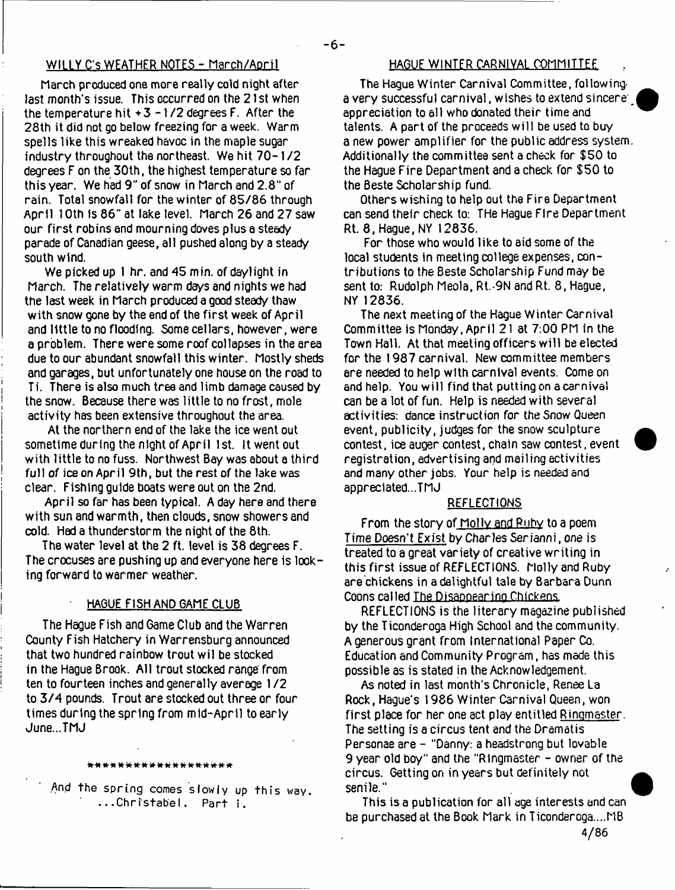#### WILLY C's WEATHER NOTES - March/April

March produced one more really cold night after last month's issue. This occurred on the 21st when the temperature hit  $+3 - 1/2$  degrees F. After the 28th it did not go below freezing for a week. Warm spells like this wreaked havoc in the maple sugar industry throughout the northeast. We hit 70-1/2 degrees F on the 30th, the highest temperature so far this year. We had 9" of snow in March and 2.8" of rain. Total snowfall for the winter of 85/86 through April 1 Oth is 86" at lake level. March 26 and 27 saw our first robins and mourning doves plus a steady parade of Canadian geese, all pushed along by a steady south wind.

We picked up 1 hr. and 45 min. of daylight in March. The relatively warm days and nights we had the last week in March produced a good steady thaw with snow gone by the end of the first week of April and little to no flooding. Some cellars, however, were a problem. There were some roof collapses in the area due to our abundant snowfall this winter. Mostly sheds and garages, but unfortunately one house on the road to Ti. There is also much tree and limb damage caused by the snow. Because there was little to no frost, mole activity has been extensive throughout the area.

At the northern end of the lake the ice went out sometime during the night of April 1st. It went out with little to no fuss. Northwest Bay was about a third full of ice on April 9th, but the rest of the lake was clear, Fishlng guide boats were out on the 2nd.

April so far has been typical. A day here and there with sun and warmth, then clouds, snow showers and cold. Had a thunderstorm the night of the 8th.

The water level at the 2 ft. level is 38 degrees F. The crocuses are pushing up and everyone here is looking forward to warmer weather.

# HAGUE FISH AND GAME CLUB

The Hague Fish and Game Club and the Warren County Fish Hatchery in Warrensburg announced that two hundred rainbow trout wil be stocked in the Hague Brook. All trout stocked range' from ten to fourteen inches and generally average 1 /2 to 3/4 pounds. Trout are stocked out three or four times during the spring from mid-April to early June...TMJ

#### \*\*\*\*\*\*\*\*\*\*\*\*\*\*\*

And the spring comes slowly up this way. **. . .C h r is t a b e l. Part i.**

#### HAGUE WINTER CARNIVAL COMMITTEE

**6**

The Hague Winter Carnival Committee, followinga very successful carnival, wishes to extend sincere' appreciation to all who donated their time and talents. A part of the proceeds w ill be used to buy a new power amplifier for the public address system Additionally the committee sent a check for \$50 to the Hague Fire Department and a check for \$50 to the Beste Scholarship fund.

Others wishing to help out the Fire Department can send their check to: THe Hague Fire Department Rt. 8, Hague, NY 12836.

For those who would like to aid some of the local students in meeting college expenses, contributions to the Beste Scholarship Fund may be sent to: Rudolph Meola, Rt.-9N and Rt. 8, Hague, NY 12836.

The next meeting of the Hague Winter Carnival Committee is Monday, April 21 at 7:00 PM in the Town Hall. At that meeting officers will be elected for the 1987 carnival. New committee members are needed to help with carnival events. Come on and help. You w ill find that putting on a carnival can be a lot of fun. Help is needed with several activities: dance instruction for the Snow Queen event, publicity, judges for the snow sculpture contest, ice auger contest, chain saw contest, event registration, advertising and mailing activities and many other jobs. Your help is needed and appreciated...TMJ

# **REFLECTIONS**

From the story of Molly and Ruby to a poem Time Doesn't Exist by Charles Ser ianni, one is treated to a great variety of creative writing in this first issue of REFLECTIONS. Molly and Ruby are chickens in a delightful tale by Barbara Dunn Coons called The Disappearing Chickens.

REFLECTIONS is the literary magazine published by the Ticonderoga High School and the community. A generous grant from International Paper Co. Education and Community Program, has made this possible as is stated in the Acknowledgement.

As noted in last month's Chronicle, Renee La Rock, Hague's 1986 Winter Carnival Queen, won first place for her one act play entitled Ringmaster. The setting is a circus tent and the Dramatis Personae are - "Danny: a headstrong but lovable 9 year old boy" and the "Ringmaster - owner of the circus. Getting on in years but definitely not senile."

This is a publication for all age interests and can be purchased at the Book Mark in Ticonderoga....MB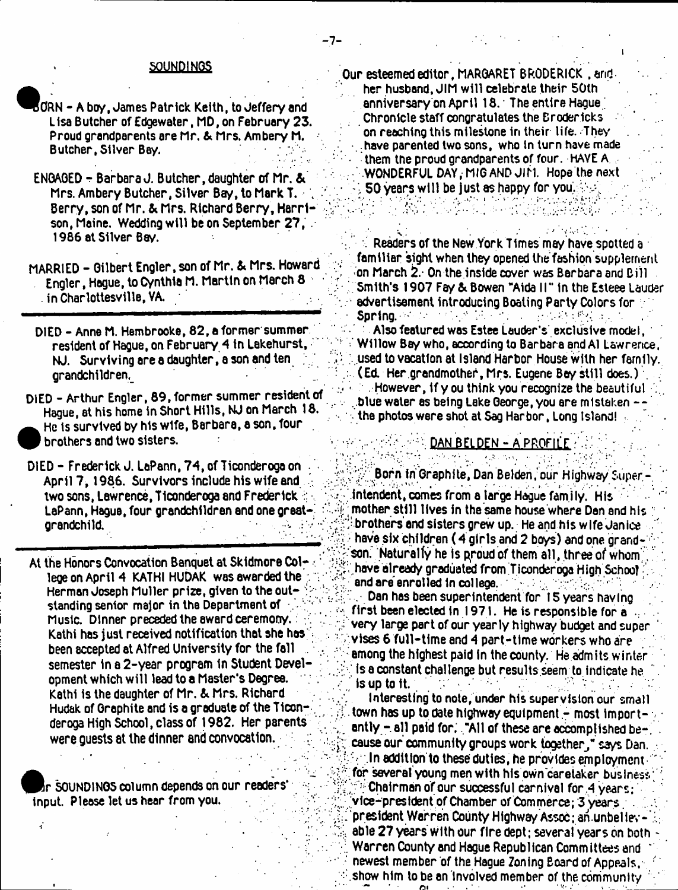#### 50UNDINQS

- ${\tt BORN}$  A boy . James Patrick Keith, to Jeffery and Lisa Butcher of Edgewater, MD, on February 23. Proud grandparents are Mr. & Mrs. Ambery M. Butcher, Silver Bay. .
- ENGAGED r Barbara J. Butcher, daughter of Mr. & Mrs. Ambery Butcher, Silver Bay, to Mark T. Berry, son of Mr. & Mrs. Richard Berry, Harrison, Maine. Wedding will be on September 27,. 1986 at Silver Bay.
- MARRIED Gilbert Engler, son of Mr. & Mrs. Howard Engler, Hague, to Cynthia M. Martin on March 8 . in Charlottesville, VA.
- DIED Anne M. Hembrooke, 82, a former summer resident of Hague, on February 4 in Lakehurst, NJ. Surviving are a daughter, a son and ten ; grandchildren^
- DIED Arthur Engler, 89, former summer resident of Hague, at his home in Short Hills, NJ on March 18. He is survived by his wife, Barbara, a son, four 1 brothers and two sisters.
- DIED Frederick J. LaPann, 74, of Ticonderoga on April 7,1986. Survivors include his wife and two sons, Lawrence, Ticonderoga and Frederick LaPann, Hague, four grandchildren end one great-' grandchild.
- At the Honors Convocation Banquet at Skidmore Col- lege on April 4 KATHI HUDAK was awarded the Herman Joseph Muller prize, given to the outstanding senior major in the Department of ; ' Music. Dinner preceded the award ceremony. Kathi has just received notification that she has: been accepted at Alfred University for the fall . semester in a 2-year program in Student Development which w ill lead to a Master's Degree. Kathi is the daughter of Mr. & Mrs. Richard Hudak of Graphite and is a graduate of the T1conderoga High School, class of 1982. Her parents were guests at the dinner and convocation. :

SOUNDINGS column depends on our readers' input. Please let us hear from you.

Our esteemed editor, MARGARET BRODERICK , and her husband. JIM w ill celebrate their 50th anniversary on April 18. The entire Hague ; Chronicle staff congratulates the Brodericks on reaching this milestone in their life. They .have parented two sons, who in turn have made them the proud grandparents of four. HAVE A •WONDERFUL DAY, MIG AND JIM. Hope the next 50 years will be just as happy for you.

Readers of the New York Times mayhave spotted a familiar sight when they opened the fashion supplement on March 2.\* On the inside cover was Barbara and Bill Smith's 1907 Fey & Bowen "Aida 11" in the Esteee Lauder advertisement introducing Boating Party Colors for Spring. 'As the study in the second problem and

Also featured was Estee Lauder's exclusive model, =; Willow Bay who, according to Barbara and A1 Lawrence, vused to vacation at Island Harbor House with her family. (Ed. Her grandmother, Mrs. Eugene Bey still does.) \ However, if y ou think you recognize the beautiful .blue water es being Lake George, you are mistaken . the photos were shot at Sag Harbor, Long Island! ;

# DAN BELDEN - A PROFILE

Born in Graphite, Dan Belden, our Highway Super intendent, comes from a large Hague family. His ;; mother still tlves in the same house where Den and his : ^brothers'and sisters grew up. He and his wife Janice ' have six children (4 girls and 2 boys) and one grandson." Naturally he is proud of them all, three of whom have already graduated from Ticonderoga High School and are enrolled in college.

, Dan has been superintendent for ISyears having first been elected in 1971. He is responsible for a very large part of our yearly highway budget and super vises 6 full-time and 4 part-time workers who are among the highest paid in the county. He admits winter is a constant challenge but results seem to indicate he is up to it.

Interesting to note, under his supervision our small town has up to date highway equipment - most importantly  $\pm$  all paid for, . "All of these are accomplished because our community groups work together," says Dan. In addition to these duties, he provides employment  $\cdot$ for several young men with his own careiaker business; ; Chairman of our successful carnival for .4 years ; vice-president of Chamber of Commerce; 3 years . president Werren County Highway Assoc; an unbeliev able 27 years with our fire dept; several years on both - Warren County and Hague Republican Committees and newest member of the Hague Zoning Board of Appeals, show him to be an involved member of the community 'OL.

 $\mathbb{R}^{n+1}$ 

»i

 $\cdot$  :  $\cdot$  :

1-